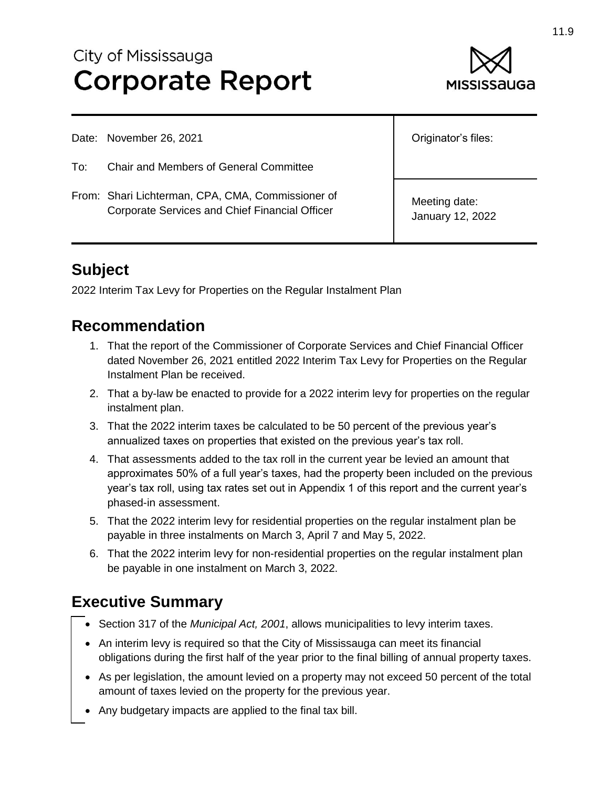# City of Mississauga **Corporate Report**



Date: November 26, 2021

- To: Chair and Members of General Committee
- From: Shari Lichterman, CPA, CMA, Commissioner of Corporate Services and Chief Financial Officer

Originator's files:

Meeting date: January 12, 2022

## **Subject**

2022 Interim Tax Levy for Properties on the Regular Instalment Plan

#### **Recommendation**

- 1. That the report of the Commissioner of Corporate Services and Chief Financial Officer dated November 26, 2021 entitled 2022 Interim Tax Levy for Properties on the Regular Instalment Plan be received.
- 2. That a by-law be enacted to provide for a 2022 interim levy for properties on the regular instalment plan.
- 3. That the 2022 interim taxes be calculated to be 50 percent of the previous year's annualized taxes on properties that existed on the previous year's tax roll.
- 4. That assessments added to the tax roll in the current year be levied an amount that approximates 50% of a full year's taxes, had the property been included on the previous year's tax roll, using tax rates set out in Appendix 1 of this report and the current year's phased-in assessment.
- 5. That the 2022 interim levy for residential properties on the regular instalment plan be payable in three instalments on March 3, April 7 and May 5, 2022.
- 6. That the 2022 interim levy for non-residential properties on the regular instalment plan be payable in one instalment on March 3, 2022.

## **Executive Summary**

- Section 317 of the *Municipal Act, 2001*, allows municipalities to levy interim taxes.
- An interim levy is required so that the City of Mississauga can meet its financial obligations during the first half of the year prior to the final billing of annual property taxes.
- As per legislation, the amount levied on a property may not exceed 50 percent of the total amount of taxes levied on the property for the previous year.
- Any budgetary impacts are applied to the final tax bill.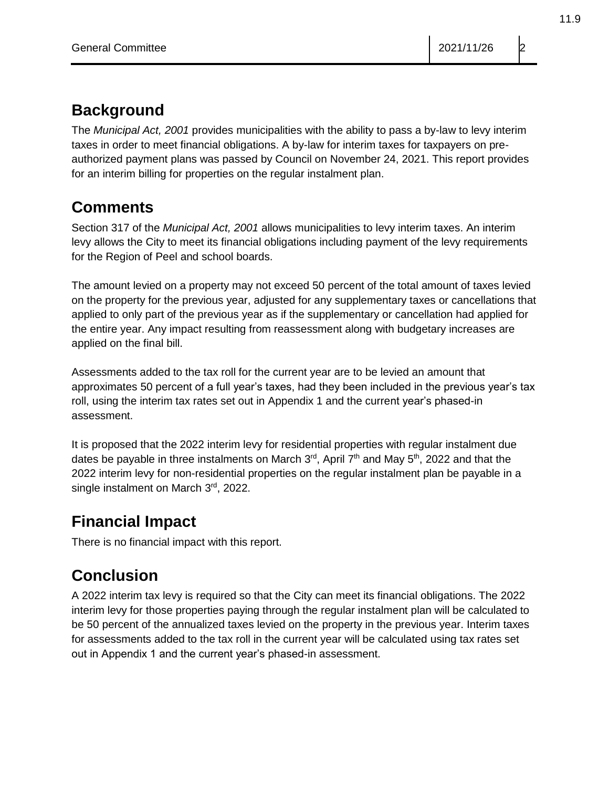## **Background**

The *Municipal Act, 2001* provides municipalities with the ability to pass a by-law to levy interim taxes in order to meet financial obligations. A by-law for interim taxes for taxpayers on preauthorized payment plans was passed by Council on November 24, 2021. This report provides for an interim billing for properties on the regular instalment plan.

## **Comments**

Section 317 of the *Municipal Act, 2001* allows municipalities to levy interim taxes. An interim levy allows the City to meet its financial obligations including payment of the levy requirements for the Region of Peel and school boards.

The amount levied on a property may not exceed 50 percent of the total amount of taxes levied on the property for the previous year, adjusted for any supplementary taxes or cancellations that applied to only part of the previous year as if the supplementary or cancellation had applied for the entire year. Any impact resulting from reassessment along with budgetary increases are applied on the final bill.

Assessments added to the tax roll for the current year are to be levied an amount that approximates 50 percent of a full year's taxes, had they been included in the previous year's tax roll, using the interim tax rates set out in Appendix 1 and the current year's phased-in assessment.

It is proposed that the 2022 interim levy for residential properties with regular instalment due dates be payable in three instalments on March 3<sup>rd</sup>, April 7<sup>th</sup> and May 5<sup>th</sup>, 2022 and that the 2022 interim levy for non-residential properties on the regular instalment plan be payable in a single instalment on March 3rd, 2022.

## **Financial Impact**

There is no financial impact with this report.

# **Conclusion**

A 2022 interim tax levy is required so that the City can meet its financial obligations. The 2022 interim levy for those properties paying through the regular instalment plan will be calculated to be 50 percent of the annualized taxes levied on the property in the previous year. Interim taxes for assessments added to the tax roll in the current year will be calculated using tax rates set out in Appendix 1 and the current year's phased-in assessment.